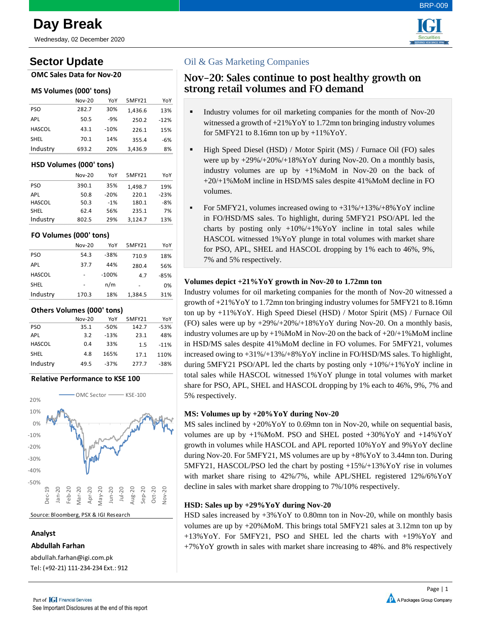Wednesday, 02 December 2020

# **Sector Update**

### **OMC Sales Data for Nov-20**

### **MS Volumes (000' tons)**

|               | <b>Nov-20</b> | YoY    | 5MFY21  | YoY    |
|---------------|---------------|--------|---------|--------|
| <b>PSO</b>    | 282.7         | 30%    | 1,436.6 | 13%    |
| <b>APL</b>    | 50.5          | $-9%$  | 250.2   | $-12%$ |
| <b>HASCOL</b> | 43.1          | $-10%$ | 226.1   | 15%    |
| <b>SHEL</b>   | 70.1          | 14%    | 355.4   | $-6%$  |
| Industry      | 693.2         | 20%    | 3,436.9 | 8%     |

### **HSD Volumes (000' tons)**

|               | $Nov-20$ | YoY    | 5MFY21  | YoY    |
|---------------|----------|--------|---------|--------|
| <b>PSO</b>    | 390.1    | 35%    | 1.498.7 | 19%    |
| <b>APL</b>    | 50.8     | $-20%$ | 220.1   | $-23%$ |
| <b>HASCOL</b> | 50.3     | $-1%$  | 180.1   | $-8%$  |
| <b>SHEL</b>   | 62.4     | 56%    | 235.1   | 7%     |
| Industry      | 802.5    | 29%    | 3.124.7 | 13%    |

### **FO Volumes (000' tons)**

|               | $Nov-20$ | YoY     | 5MFY21  | YoY    |
|---------------|----------|---------|---------|--------|
| <b>PSO</b>    | 54.3     | $-38%$  | 710.9   | 18%    |
| <b>APL</b>    | 37.7     | 44%     | 280.4   | 56%    |
| <b>HASCOL</b> |          | $-100%$ | 4.7     | $-85%$ |
| <b>SHEL</b>   |          | n/m     |         | 0%     |
| Industry      | 170.3    | 18%     | 1,384.5 | 31%    |

### **Others Volumes (000' tons)**

|               | <b>Nov-20</b> | YoY    | 5MFY21 | YoY    |
|---------------|---------------|--------|--------|--------|
| PSO           | 35.1          | $-50%$ | 142.7  | $-53%$ |
| <b>APL</b>    | 3.2           | $-13%$ | 23.1   | 48%    |
| <b>HASCOL</b> | 0.4           | 33%    | 1.5    | $-11%$ |
| <b>SHEL</b>   | 4.8           | 165%   | 17.1   | 110%   |
| Industry      | 49.5          | $-37%$ | 277.7  | $-38%$ |
|               |               |        |        |        |

### **Relative Performance to KSE 100**



Source: Bloomberg, PSX & IGI Research

### **Analyst**

**Abdullah Farhan**

abdullah.farhan@igi.com.pk Tel: (+92-21) 111-234-234 Ext.: 912

## Oil & Gas Marketing Companies

## Nov-20: Sales continue to post healthy growth on strong retail volumes and FO demand

- Industry volumes for oil marketing companies for the month of Nov-20 witnessed a growth of +21%YoY to 1.72mn ton bringing industry volumes for  $5MFY21$  to  $8.16$ mn ton up by  $+11\%$  YoY.
- High Speed Diesel (HSD) / Motor Spirit (MS) / Furnace Oil (FO) sales were up by +29%/+20%/+18%YoY during Nov-20. On a monthly basis, industry volumes are up by +1%MoM in Nov-20 on the back of +20/+1%MoM incline in HSD/MS sales despite 41%MoM decline in FO volumes.
- For 5MFY21, volumes increased owing to +31%/+13%/+8%YoY incline in FO/HSD/MS sales. To highlight, during 5MFY21 PSO/APL led the charts by posting only +10%/+1%YoY incline in total sales while HASCOL witnessed 1%YoY plunge in total volumes with market share for PSO, APL, SHEL and HASCOL dropping by 1% each to 46%, 9%, 7% and 5% respectively.

### **Volumes depict +21%YoY growth in Nov-20 to 1.72mn ton**

Industry volumes for oil marketing companies for the month of Nov-20 witnessed a growth of +21%YoY to 1.72mn ton bringing industry volumes for 5MFY21 to 8.16mn ton up by +11%YoY. High Speed Diesel (HSD) / Motor Spirit (MS) / Furnace Oil (FO) sales were up by  $+29\%/+20\%/+18\%$  YoY during Nov-20. On a monthly basis, industry volumes are up by  $+1\%$ MoM in Nov-20 on the back of  $+20/+1\%$ MoM incline in HSD/MS sales despite 41%MoM decline in FO volumes. For 5MFY21, volumes increased owing to +31%/+13%/+8%YoY incline in FO/HSD/MS sales. To highlight, during 5MFY21 PSO/APL led the charts by posting only  $+10\% /+1\%$  YoY incline in total sales while HASCOL witnessed 1%YoY plunge in total volumes with market share for PSO, APL, SHEL and HASCOL dropping by 1% each to 46%, 9%, 7% and 5% respectively.

## **MS: Volumes up by +20%YoY during Nov-20**

MS sales inclined by +20%YoY to 0.69mn ton in Nov-20, while on sequential basis, volumes are up by  $+1\%$ MoM. PSO and SHEL posted  $+30\%$ YoY and  $+14\%$ YoY growth in volumes while HASCOL and APL reported 10%YoY and 9%YoY decline during Nov-20. For 5MFY21, MS volumes are up by +8%YoY to 3.44mn ton. During 5MFY21, HASCOL/PSO led the chart by posting +15%/+13%YoY rise in volumes with market share rising to 42%/7%, while APL/SHEL registered 12%/6%YoY decline in sales with market share dropping to 7%/10% respectively.

## **HSD: Sales up by +29%YoY during Nov-20**

HSD sales increased by +3%YoY to 0.80mn ton in Nov-20, while on monthly basis volumes are up by +20%MoM. This brings total 5MFY21 sales at 3.12mn ton up by +13%YoY. For 5MFY21, PSO and SHEL led the charts with +19%YoY and +7%YoY growth in sales with market share increasing to 48%. and 8% respectively





BRP-009